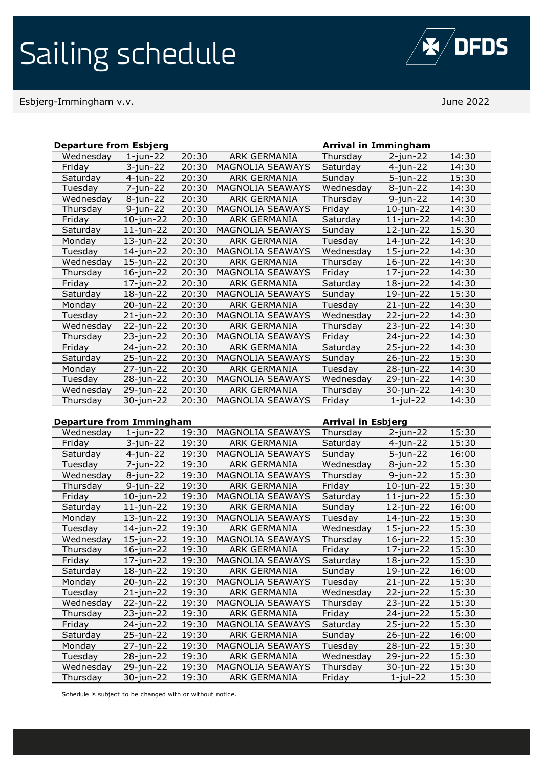Esbjer g -Immingham v.v. June 20



2 2

| <b>Departure from Esbjerg</b> |                  | <b>Arrival in Immingham</b> |                         |           |                  |       |
|-------------------------------|------------------|-----------------------------|-------------------------|-----------|------------------|-------|
| Wednesday                     | $1$ -jun-22      | 20:30                       | <b>ARK GERMANIA</b>     | Thursday  | $2$ -jun-22      | 14:30 |
| Friday                        | $3$ -jun-22      | 20:30                       | <b>MAGNOLIA SEAWAYS</b> | Saturday  | $4$ -jun-22      | 14:30 |
| Saturday                      | $4$ -jun-22      | 20:30                       | <b>ARK GERMANIA</b>     | Sunday    | $5 - j$ un $-22$ | 15:30 |
| Tuesday                       | $7 - i$ un $-22$ | 20:30                       | <b>MAGNOLIA SEAWAYS</b> | Wednesday | $8 - i$ un $-22$ | 14:30 |
| Wednesday                     | $8$ -jun-22      | 20:30                       | <b>ARK GERMANIA</b>     | Thursday  | $9$ -jun-22      | 14:30 |
| Thursday                      | $9$ -jun-22      | 20:30                       | <b>MAGNOLIA SEAWAYS</b> | Friday    | $10$ -jun-22     | 14:30 |
| Friday                        | $10$ -jun-22     | 20:30                       | <b>ARK GERMANIA</b>     | Saturday  | $11$ -jun-22     | 14:30 |
| Saturday                      | $11$ -jun-22     | 20:30                       | <b>MAGNOLIA SEAWAYS</b> | Sunday    | 12-jun-22        | 15.30 |
| Monday                        | $13$ -jun-22     | 20:30                       | <b>ARK GERMANIA</b>     | Tuesday   | $14$ -jun-22     | 14:30 |
| Tuesday                       | 14-jun-22        | 20:30                       | MAGNOLIA SEAWAYS        | Wednesday | $15$ -jun-22     | 14:30 |
| Wednesday                     | $15$ -jun-22     | 20:30                       | <b>ARK GERMANIA</b>     | Thursday  | $16$ -jun-22     | 14:30 |
| Thursday                      | $16$ -jun-22     | 20:30                       | MAGNOLIA SEAWAYS        | Friday    | $17$ -jun-22     | 14:30 |
| Friday                        | $17$ -jun-22     | 20:30                       | <b>ARK GERMANIA</b>     | Saturday  | $18$ -jun-22     | 14:30 |
| Saturday                      | $18$ -jun-22     | 20:30                       | <b>MAGNOLIA SEAWAYS</b> | Sunday    | 19-jun-22        | 15:30 |
| Monday                        | 20-jun-22        | 20:30                       | <b>ARK GERMANIA</b>     | Tuesday   | 21-jun-22        | 14:30 |
| Tuesday                       | $21$ -jun-22     | 20:30                       | <b>MAGNOLIA SEAWAYS</b> | Wednesday | 22-jun-22        | 14:30 |
| Wednesday                     | $22$ -jun-22     | 20:30                       | ARK GERMANIA            | Thursday  | 23-jun-22        | 14:30 |
| Thursday                      | 23-jun-22        | 20:30                       | MAGNOLIA SEAWAYS        | Friday    | 24-jun-22        | 14:30 |
| Friday                        | 24-jun-22        | 20:30                       | <b>ARK GERMANIA</b>     | Saturday  | 25-jun-22        | 14:30 |
| Saturday                      | 25-jun-22        | 20:30                       | <b>MAGNOLIA SEAWAYS</b> | Sunday    | 26-jun-22        | 15:30 |
| Monday                        | 27-jun-22        | 20:30                       | <b>ARK GERMANIA</b>     | Tuesday   | 28-jun-22        | 14:30 |
| Tuesday                       | 28-jun-22        | 20:30                       | <b>MAGNOLIA SEAWAYS</b> | Wednesday | 29-jun-22        | 14:30 |
| Wednesday                     | 29-jun-22        | 20:30                       | ARK GERMANIA            | Thursday  | 30-jun-22        | 14:30 |
| Thursday                      | 30-jun-22        | 20:30                       | <b>MAGNOLIA SEAWAYS</b> | Friday    | 1-jul-22         | 14:30 |

## **Departure from Immingham Arrival in Esbjerg**

| Wednesday | $1$ -jun-22      | 19:30 | MAGNOLIA SEAWAYS        | Thursday  | $2$ -jun-22    | 15:30 |
|-----------|------------------|-------|-------------------------|-----------|----------------|-------|
| Friday    | 3-jun-22         | 19:30 | <b>ARK GERMANIA</b>     | Saturday  | $4$ -jun-22    | 15:30 |
| Saturday  | $4$ -jun-22      | 19:30 | MAGNOLIA SEAWAYS        | Sunday    | $5 - jun - 22$ | 16:00 |
| Tuesday   | $7$ -jun-22      | 19:30 | <b>ARK GERMANIA</b>     | Wednesday | $8$ -jun-22    | 15:30 |
| Wednesday | $8 - i$ un $-22$ | 19:30 | MAGNOLIA SEAWAYS        | Thursday  | $9$ -jun-22    | 15:30 |
| Thursday  | $9$ -jun-22      | 19:30 | <b>ARK GERMANIA</b>     | Friday    | $10$ -jun-22   | 15:30 |
| Friday    | $10$ -jun-22     | 19:30 | <b>MAGNOLIA SEAWAYS</b> | Saturday  | $11$ -jun-22   | 15:30 |
| Saturday  | $11$ -jun-22     | 19:30 | <b>ARK GERMANIA</b>     | Sunday    | 12-jun-22      | 16:00 |
| Monday    | $13$ -jun-22     | 19:30 | <b>MAGNOLIA SEAWAYS</b> | Tuesday   | 14-jun-22      | 15:30 |
| Tuesday   | $14$ -jun-22     | 19:30 | <b>ARK GERMANIA</b>     | Wednesday | $15$ -jun-22   | 15:30 |
| Wednesday | $15$ -jun-22     | 19:30 | <b>MAGNOLIA SEAWAYS</b> | Thursday  | $16$ -jun-22   | 15:30 |
| Thursday  | $16$ -jun-22     | 19:30 | <b>ARK GERMANIA</b>     | Friday    | $17$ -jun-22   | 15:30 |
| Friday    | $17$ -jun-22     | 19:30 | MAGNOLIA SEAWAYS        | Saturday  | 18-jun-22      | 15:30 |
| Saturday  | $18$ -jun-22     | 19:30 | <b>ARK GERMANIA</b>     | Sunday    | 19-jun-22      | 16:00 |
| Monday    | $20$ -jun-22     | 19:30 | <b>MAGNOLIA SEAWAYS</b> | Tuesday   | 21-jun-22      | 15:30 |
| Tuesday   | $21$ -jun-22     | 19:30 | <b>ARK GERMANIA</b>     | Wednesday | 22-jun-22      | 15:30 |
| Wednesday | $22$ -jun-22     | 19:30 | MAGNOLIA SEAWAYS        | Thursday  | 23-jun-22      | 15:30 |
| Thursday  | $23 - iun - 22$  | 19:30 | ARK GERMANIA            | Friday    | 24-jun-22      | 15:30 |
| Friday    | 24-jun-22        | 19:30 | <b>MAGNOLIA SEAWAYS</b> | Saturday  | 25-jun-22      | 15:30 |
| Saturday  | 25-jun-22        | 19:30 | <b>ARK GERMANIA</b>     | Sunday    | 26-jun-22      | 16:00 |
| Monday    | 27-jun-22        | 19:30 | <b>MAGNOLIA SEAWAYS</b> | Tuesday   | 28-jun-22      | 15:30 |
| Tuesday   | 28-jun-22        | 19:30 | <b>ARK GERMANIA</b>     | Wednesday | 29-jun-22      | 15:30 |
| Wednesday | 29-jun-22        | 19:30 | MAGNOLIA SEAWAYS        | Thursday  | 30-jun-22      | 15:30 |
| Thursday  | 30-jun-22        | 19:30 | <b>ARK GERMANIA</b>     | Friday    | $1$ -jul-22    | 15:30 |

Schedule is subject to be changed with or without notice.